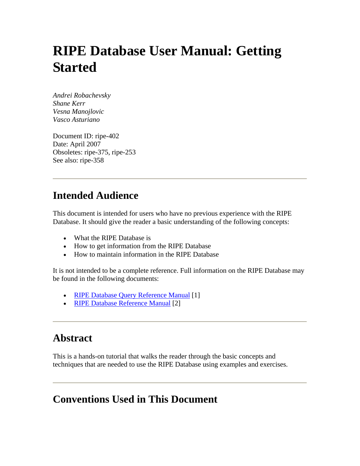# **RIPE Database User Manual: Getting Started**

*Andrei Robachevsky Shane Kerr Vesna Manojlovic Vasco Asturiano*

Document ID: ripe-402 Date: April 2007 Obsoletes: ripe-375, ripe-253 See also: ripe-358

## **Intended Audience**

This document is intended for users who have no previous experience with the RIPE Database. It should give the reader a basic understanding of the following concepts:

- What the RIPE Database is
- How to get information from the RIPE Database
- How to maintain information in the RIPE Database

It is not intended to be a complete reference. Full information on the RIPE Database may be found in the following documents:

- [RIPE Database Query Reference Manual](#page-36-0) [1]
- [RIPE Database Reference Manual](#page-36-0) [2]

## **Abstract**

This is a hands-on tutorial that walks the reader through the basic concepts and techniques that are needed to use the RIPE Database using examples and exercises.

## **Conventions Used in This Document**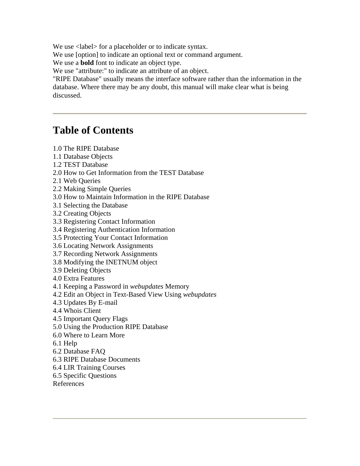We use <label> for a placeholder or to indicate syntax.

We use [option] to indicate an optional text or command argument.

We use a **bold** font to indicate an object type.

We use "attribute:" to indicate an attribute of an object.

"RIPE Database" usually means the interface software rather than the information in the database. Where there may be any doubt, this manual will make clear what is being discussed.

## **Table of Contents**

- [1.0 The RIPE Database](#page-2-0)
- [1.1 Database Objects](#page-2-0)
- [1.2 TEST Database](#page-2-0)
- [2.0 How to Get Information from the TEST Database](#page-3-0)
- [2.1 Web Queries](#page-3-0)
- [2.2 Making Simple Queries](#page-3-0)
- [3.0 How to Maintain Information in the RIPE Database](#page-4-0)
- [3.1 Selecting the Database](#page-4-0)
- [3.2 Creating Objects](#page-5-0)
- [3.3 Registering Contact Information](#page-6-0)
- [3.4 Registering Authentication Information](#page-9-0)
- [3.5 Protecting Your Contact Information](#page-13-0)
- [3.6 Locating Network Assignments](#page-17-0)
- [3.7 Recording Network Assignments](#page-20-0)
- [3.8 Modifying the INETNUM object](#page-23-0)
- [3.9 Deleting Objects](#page-25-0)
- [4.0 Extra Features](#page-28-0)
- [4.1 Keeping a Password in](#page-28-0) *webupdates* Memory
- [4.2 Edit an Object in Text-Based View Using](#page-28-0) *webupdates*
- [4.3 Updates By E-mail](#page-30-0)
- [4.4 Whois Client](#page-32-0)
- [4.5 Important Query Flags](#page-32-0)
- [5.0 Using the Production RIPE Database](#page-34-0)
- [6.0 Where to Learn More](#page-35-0)
- [6.1 Help](#page-35-0)
- [6.2 Database FAQ](#page-35-0)
- [6.3 RIPE Database Documents](#page-35-0)
- [6.4 LIR Training Courses](#page-35-0)
- [6.5 Specific Questions](#page-36-0)
- [References](#page-36-0)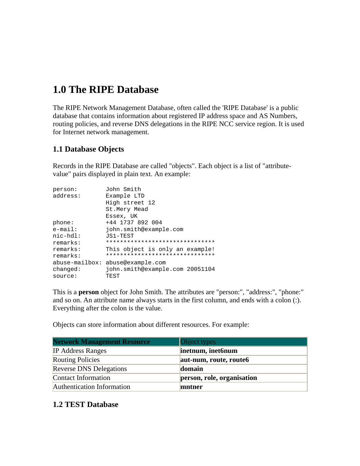## <span id="page-2-0"></span>**1.0 The RIPE Database**

The RIPE Network Management Database, often called the 'RIPE Database' is a public database that contains information about registered IP address space and AS Numbers, routing policies, and reverse DNS delegations in the RIPE NCC service region. It is used for Internet network management.

### **1.1 Database Objects**

Records in the RIPE Database are called "objects". Each object is a list of "attributevalue" pairs displayed in plain text. An example:

| person:<br>address: | John Smith<br>Example LTD<br>High street 12<br>St.Mery Mead<br>Essex, UK |
|---------------------|--------------------------------------------------------------------------|
| phone:              | +44 1737 892 004                                                         |
| $e$ -mail:          | john.smith@example.com                                                   |
| $nic$ - $hdl$ :     | JS1-TEST                                                                 |
| remarks:            | *******************************                                          |
| remarks:            | This object is only an example!                                          |
| remarks:            | *******************************                                          |
| $abuse-mailbox:$    | abuse@example.com                                                        |
| changed:            | john.smith@example.com 20051104                                          |
| source:             | TEST                                                                     |

This is a **person** object for John Smith. The attributes are "person:", "address:", "phone:" and so on. An attribute name always starts in the first column, and ends with a colon (:). Everything after the colon is the value.

Objects can store information about different resources. For example:

| <b>Network Management Resource</b> | Object types               |
|------------------------------------|----------------------------|
| <b>IP</b> Address Ranges           | inetnum, inet6num          |
| <b>Routing Policies</b>            | aut-num, route, route6     |
| <b>Reverse DNS Delegations</b>     | domain                     |
| Contact Information                | person, role, organisation |
| Authentication Information         | mntner                     |

#### **1.2 TEST Database**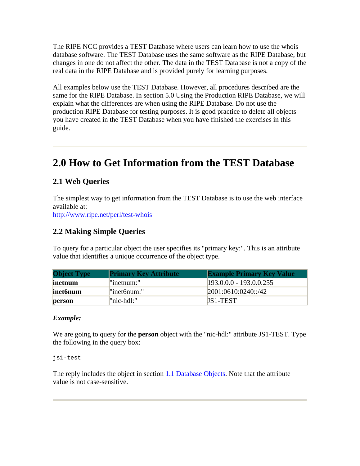<span id="page-3-0"></span>The RIPE NCC provides a TEST Database where users can learn how to use the whois database software. The TEST Database uses the same software as the RIPE Database, but changes in one do not affect the other. The data in the TEST Database is not a copy of the real data in the RIPE Database and is provided purely for learning purposes.

All examples below use the TEST Database. However, all procedures described are the same for the RIPE Database. In section 5.0 Using the Production RIPE Database, we will explain what the differences are when using the RIPE Database. Do not use the production RIPE Database for testing purposes. It is good practice to delete all objects you have created in the TEST Database when you have finished the exercises in this guide.

## **2.0 How to Get Information from the TEST Database**

## **2.1 Web Queries**

The simplest way to get information from the TEST Database is to use the web interface available at:

<http://www.ripe.net/perl/test-whois>

#### **2.2 Making Simple Queries**

To query for a particular object the user specifies its "primary key:". This is an attribute value that identifies a unique occurrence of the object type.

| <b>Object Type</b> | <b>Primary Key Attribute</b> | <b>Example Primary Key Value</b> |
|--------------------|------------------------------|----------------------------------|
| inetnum            | "inetnum:"                   | $193.0.0.0 - 193.0.0.255$        |
| inet6num           | "inet6num:"                  | 2001:0610:0240::/42              |
| person             | "nic-hdl:"                   | <b>IS1-TEST</b>                  |

#### *Example:*

We are going to query for the **person** object with the "nic-hdl:" attribute JS1-TEST. Type the following in the query box:

js1-test

The reply includes the object in section  $1.1$  Database Objects. Note that the attribute value is not case-sensitive.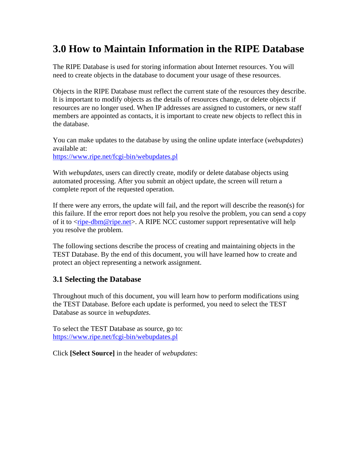## <span id="page-4-0"></span>**3.0 How to Maintain Information in the RIPE Database**

The RIPE Database is used for storing information about Internet resources. You will need to create objects in the database to document your usage of these resources.

Objects in the RIPE Database must reflect the current state of the resources they describe. It is important to modify objects as the details of resources change, or delete objects if resources are no longer used. When IP addresses are assigned to customers, or new staff members are appointed as contacts, it is important to create new objects to reflect this in the database.

You can make updates to the database by using the online update interface (*webupdates*) available at:

<https://www.ripe.net/fcgi-bin/webupdates.pl>

With *webupdates*, users can directly create, modify or delete database objects using automated processing. After you submit an object update, the screen will return a complete report of the requested operation.

If there were any errors, the update will fail, and the report will describe the reason(s) for this failure. If the error report does not help you resolve the problem, you can send a copy of it to <[ripe-dbm@ripe.net](mailto:ripe-dbm@ripe.net)>. A RIPE NCC customer support representative will help you resolve the problem.

The following sections describe the process of creating and maintaining objects in the TEST Database. By the end of this document, you will have learned how to create and protect an object representing a network assignment.

#### **3.1 Selecting the Database**

Throughout much of this document, you will learn how to perform modifications using the TEST Database. Before each update is performed, you need to select the TEST Database as source in *webupdates*.

To select the TEST Database as source, go to: <https://www.ripe.net/fcgi-bin/webupdates.pl>

Click **[Select Source]** in the header of *webupdates*: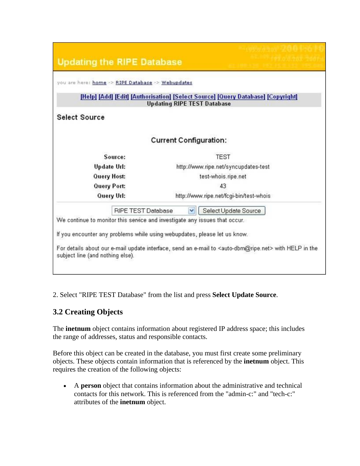<span id="page-5-0"></span>

| <b>Updating the RIPE Database</b>                                                                       |                                                                                                                           |
|---------------------------------------------------------------------------------------------------------|---------------------------------------------------------------------------------------------------------------------------|
| you are here: home >> RIPE Database >> Webupdates                                                       |                                                                                                                           |
|                                                                                                         | [Help] [Add] [Edit] [Authorisation] [Select Source] [Query Database] [Copyright]<br><b>Updating RIPE TEST Database</b>    |
| <b>Select Source</b>                                                                                    |                                                                                                                           |
|                                                                                                         | <b>Current Configuration:</b>                                                                                             |
| Source:                                                                                                 | <b>TEST</b>                                                                                                               |
| <b>Update Url:</b>                                                                                      | http://www.ripe.net/syncupdates-test                                                                                      |
| <b>Query Host:</b>                                                                                      | test-whois.ripe.net                                                                                                       |
| Query Port:                                                                                             | 43                                                                                                                        |
| Query Url:                                                                                              | http://www.ripe.net/fcgi-bin/test-whois                                                                                   |
| <b>RIPE TEST Database</b><br>We continue to monitor this service and investigate any issues that occur. | Select Update Source<br>M                                                                                                 |
| If you encounter any problems while using webupdates, please let us know.                               |                                                                                                                           |
| subject line (and nothing else).                                                                        | For details about our e-mail update interface, send an e-mail to <auto-dbm@ripe.net> with HELP in the</auto-dbm@ripe.net> |
|                                                                                                         |                                                                                                                           |

2. Select "RIPE TEST Database" from the list and press **Select Update Source**.

## **3.2 Creating Objects**

The **inetnum** object contains information about registered IP address space; this includes the range of addresses, status and responsible contacts.

Before this object can be created in the database, you must first create some preliminary objects. These objects contain information that is referenced by the **inetnum** object. This requires the creation of the following objects:

• A **person** object that contains information about the administrative and technical contacts for this network. This is referenced from the "admin-c:" and "tech-c:" attributes of the **inetnum** object.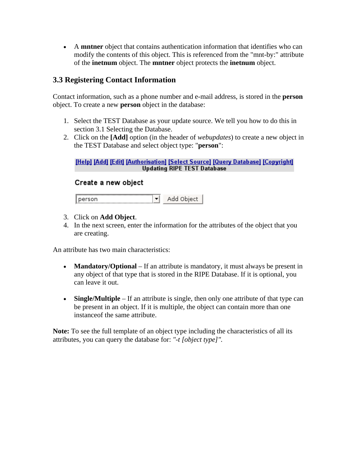<span id="page-6-0"></span>• A **mntner** object that contains authentication information that identifies who can modify the contents of this object. This is referenced from the "mnt-by:" attribute of the **inetnum** object. The **mntner** object protects the **inetnum** object.

### **3.3 Registering Contact Information**

Contact information, such as a phone number and e-mail address, is stored in the **person** object. To create a new **person** object in the database:

- 1. Select the TEST Database as your update source. We tell you how to do this in section 3.1 Selecting the Database.
- 2. Click on the **[Add]** option (in the header of *webupdates*) to create a new object in the TEST Database and select object type: "**person**":

#### [Help] [Add] [Edit] [Authorisation] [Select Source] [Query Database] [Copyright] **Updating RIPE TEST Database**

#### Create a new object

 $\mathbf{r}$ Add Object person]

- 3. Click on **Add Object**.
- 4. In the next screen, enter the information for the attributes of the object that you are creating.

An attribute has two main characteristics:

- **Mandatory/Optional** If an attribute is mandatory, it must always be present in any object of that type that is stored in the RIPE Database. If it is optional, you can leave it out.
- **Single/Multiple** If an attribute is single, then only one attribute of that type can be present in an object. If it is multiple, the object can contain more than one instanceof the same attribute.

**Note:** To see the full template of an object type including the characteristics of all its attributes, you can query the database for: *"-t [object type]".*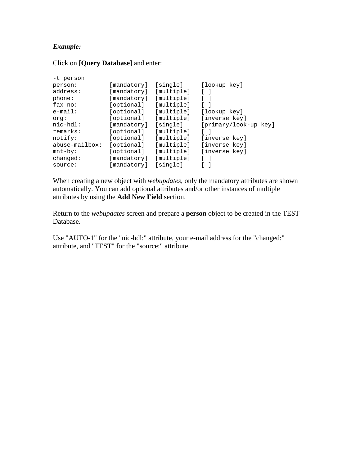#### *Example:*

Click on **[Query Database]** and enter:

| -t person        |             |            |                       |
|------------------|-------------|------------|-----------------------|
| person:          | [mandatory] | [single]   | [lookup key]          |
| address:         | [mandatory] | [multiple] |                       |
| phone:           | [mandatory] | [multiple] |                       |
| $fax-no:$        | [optional]  | [multiple] |                       |
| $e$ -mail:       | [optional]  | [multiple] | [lookup key]          |
| org:             | [optional]  | [multiple] | [inverse key]         |
| nic-hdl:         | [mandatory] | [single]   | [primary/look-up key] |
| remarks:         | [optional]  | [multiple] |                       |
| notify:          | [optional]  | [multiple] | [inverse key]         |
| $abuse-mailbox:$ | [optional]  | [multiple] | [inverse key]         |
| $mnt-by$ :       | [optional]  | [multiple] | [inverse key]         |
| changed:         | [mandatory] | [multiple] |                       |
| source:          | [mandatory] | [sinqle]   |                       |

When creating a new object with *webupdates*, only the mandatory attributes are shown automatically. You can add optional attributes and/or other instances of multiple attributes by using the **Add New Field** section.

Return to the *webupdates* screen and prepare a **person** object to be created in the TEST Database.

Use "AUTO-1" for the "nic-hdl:" attribute, your e-mail address for the "changed:" attribute, and "TEST" for the "source:" attribute.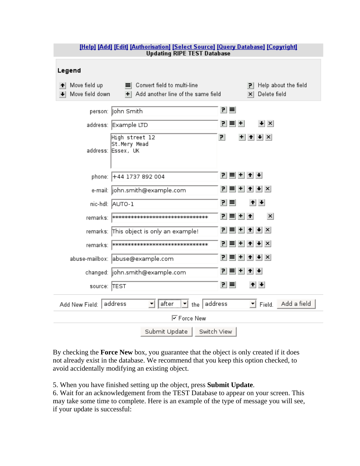| <u> Help   Add   Edit   Authorisation   Select Source   Query Database   Copyright </u><br><b>Updating RIPE TEST Database</b> |                                                                            |                                                         |  |  |
|-------------------------------------------------------------------------------------------------------------------------------|----------------------------------------------------------------------------|---------------------------------------------------------|--|--|
| Legend                                                                                                                        |                                                                            |                                                         |  |  |
| Move field up<br>Move field down                                                                                              | ■ Convert field to multi-line<br>Add another line of the same field<br>$+$ | Help about the field<br>PI.<br>Delete field<br>$\times$ |  |  |
|                                                                                                                               | person: John Smith                                                         | 리크                                                      |  |  |
|                                                                                                                               | address: Example LTD                                                       | $\vert \cdot \vert \times$<br>$P =   +  $               |  |  |
|                                                                                                                               | High street 12<br>St.Mery Mead<br>address: Essex, UK                       | 리<br>$+$ $+$ $+$ $\times$                               |  |  |
|                                                                                                                               | phone: +44 1737 892 004                                                    | 귀복비취+                                                   |  |  |
|                                                                                                                               | e-mail:  john.smith@example.com                                            | $P =   +  $<br>$+$ $+$ $\times$                         |  |  |
|                                                                                                                               | nic-hdl: AUTO-1                                                            | 리티<br>$+$ $+$                                           |  |  |
|                                                                                                                               | remarks:  *********************************                                | $ P  \equiv  P  +  P $<br>$\vert x \vert$               |  |  |
|                                                                                                                               | remarks: This object is only an example!                                   | $ P  \equiv  P  +  P $                                  |  |  |
|                                                                                                                               |                                                                            | $ P  \equiv  P  +  P $                                  |  |  |
|                                                                                                                               | abuse-mailbox: abuse@example.com                                           | $ P  \equiv  P  +  P $                                  |  |  |
|                                                                                                                               | changed:  john.smith@example.com                                           | PI.<br>$+$<br>$+ + $<br>ᆯ                               |  |  |
| source: TEST                                                                                                                  |                                                                            | 킨티<br>$+ + $                                            |  |  |
| Add New Field: address                                                                                                        | $\mathbf{r}$ the address<br>after                                          | Add a field<br>$\mathbf{r}$ Field.                      |  |  |
|                                                                                                                               | <b>▽</b> Force New                                                         |                                                         |  |  |
|                                                                                                                               | Submit Update                                                              | Switch View                                             |  |  |

By checking the **Force New** box, you guarantee that the object is only created if it does not already exist in the database. We recommend that you keep this option checked, to avoid accidentally modifying an existing object.

5. When you have finished setting up the object, press **Submit Update**.

6. Wait for an acknowledgement from the TEST Database to appear on your screen. This may take some time to complete. Here is an example of the type of message you will see, if your update is successful: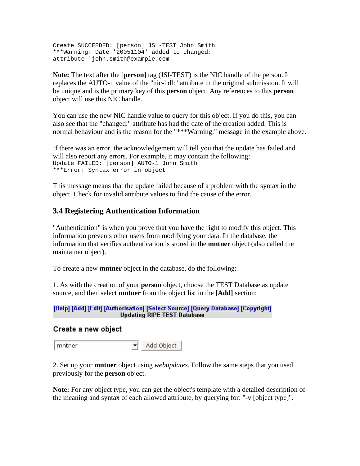<span id="page-9-0"></span>Create SUCCEEDED: [person] JS1-TEST John Smith \*\*\*Warning: Date '20051104' added to changed: attribute 'john.smith@example.com'

**Note:** The text after the [**person**] tag (JSI-TEST) is the NIC handle of the person. It replaces the AUTO-1 value of the "nic-hdl:" attribute in the original submission. It will be unique and is the primary key of this **person** object. Any references to this **person** object will use this NIC handle.

You can use the new NIC handle value to query for this object. If you do this, you can also see that the "changed:" attribute has had the date of the creation added. This is normal behaviour and is the reason for the "\*\*\*Warning:" message in the example above.

If there was an error, the acknowledgement will tell you that the update has failed and will also report any errors. For example, it may contain the following: Update FAILED: [person] AUTO-1 John Smith \*\*\*Error: Syntax error in object

This message means that the update failed because of a problem with the syntax in the object. Check for invalid attribute values to find the cause of the error.

### **3.4 Registering Authentication Information**

"Authentication" is when you prove that you have the right to modify this object. This information prevents other users from modifying your data. In the database, the information that verifies authentication is stored in the **mntner** object (also called the maintainer object).

To create a new **mntner** object in the database, do the following:

1. As with the creation of your **person** object, choose the TEST Database as update source, and then select **mntner** from the object list in the **[Add]** section:

#### [Help] [Add] [Edit] [Authorisation] [Select Source] [Query Database] [Copyright] **Updating RIPE TEST Database**

#### Create a new object

 $\blacktriangleright$  Add Object mntner

2. Set up your **mntner** object using *webupdates*. Follow the same steps that you used previously for the **person** object.

**Note:** For any object type, you can get the object's template with a detailed description of the meaning and syntax of each allowed attribute, by querying for: "-v [object type]".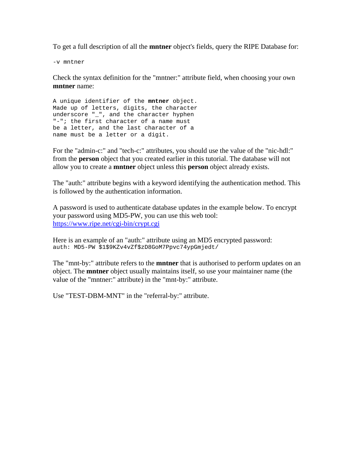To get a full description of all the **mntner** object's fields, query the RIPE Database for:

-v mntner

Check the syntax definition for the "mntner:" attribute field, when choosing your own **mntner** name:

A unique identifier of the **mntner** object. Made up of letters, digits, the character underscore "\_", and the character hyphen "-"; the first character of a name must be a letter, and the last character of a name must be a letter or a digit.

For the "admin-c:" and "tech-c:" attributes, you should use the value of the "nic-hdl:" from the **person** object that you created earlier in this tutorial. The database will not allow you to create a **mntner** object unless this **person** object already exists.

The "auth:" attribute begins with a keyword identifying the authentication method. This is followed by the authentication information.

A password is used to authenticate database updates in the example below. To encrypt your password using MD5-PW, you can use this web tool: <https://www.ripe.net/cgi-bin/crypt.cgi>

Here is an example of an "auth:" attribute using an MD5 encrypted password: auth: MD5-PW \$1\$9KZv4vZf\$zD8GoM7Ppvc74ypGmjedt/

The "mnt-by:" attribute refers to the **mntner** that is authorised to perform updates on an object. The **mntner** object usually maintains itself, so use your maintainer name (the value of the "mntner:" attribute) in the "mnt-by:" attribute.

Use "TEST-DBM-MNT" in the "referral-by:" attribute.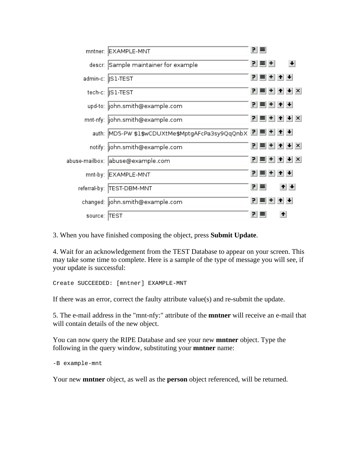| mntner:      | EXAMPLE-MNT                                             | 키티        |                                                                                                |  |
|--------------|---------------------------------------------------------|-----------|------------------------------------------------------------------------------------------------|--|
|              | descr: Sample maintainer for example                    | 인터비       |                                                                                                |  |
|              | admin-c:   S1-TEST                                      | 귀티비쉬베     |                                                                                                |  |
|              | tech-c:   S1-TEST                                       |           | $ P  \equiv  P  +  P $                                                                         |  |
|              | upd-to:  john.smith@example.com                         | 귀 티 비 쉬 베 |                                                                                                |  |
|              | mnt-nfy: john.smith@example.com                         |           | <u>리티비베시</u> ×                                                                                 |  |
|              | auth: MD5-PW \$1\$wCDUXtMe\$MptgAFcPa3sy9QqQnbX P = + + |           |                                                                                                |  |
|              | notify:  john.smith@example.com                         |           | $\left  \mathbf{F} \right  = \left  \mathbf{F} \right  + \left  \mathbf{F} \right  \mathbf{F}$ |  |
|              | abuse-mailbox: abuse@example.com                        |           | $\left  \mathbf{P} \right  = \left  \mathbf{H} \right  + \left  \mathbf{H} \right  \times$     |  |
| mnt-by:      | EXAMPLE-MNT                                             | 귀티비쉬베     |                                                                                                |  |
|              | referral-by:  TEST-DBM-MNT                              | 키티        | $+$ $+$                                                                                        |  |
|              | changed:  john.smith@example.com                        | 귀복비취+     |                                                                                                |  |
| source: TEST |                                                         | 리트        | $\left  \cdot \right $                                                                         |  |

3. When you have finished composing the object, press **Submit Update**.

4. Wait for an acknowledgement from the TEST Database to appear on your screen. This may take some time to complete. Here is a sample of the type of message you will see, if your update is successful:

Create SUCCEEDED: [mntner] EXAMPLE-MNT

If there was an error, correct the faulty attribute value(s) and re-submit the update.

5. The e-mail address in the "mnt-nfy:" attribute of the **mntner** will receive an e-mail that will contain details of the new object.

You can now query the RIPE Database and see your new **mntner** object. Type the following in the query window, substituting your **mntner** name:

-B example-mnt

Your new **mntner** object, as well as the **person** object referenced, will be returned.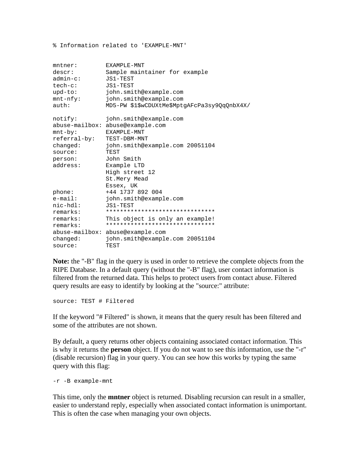% Information related to 'EXAMPLE-MNT'

| $m$ tner:        | EXAMPLE-MNT                                  |
|------------------|----------------------------------------------|
| descr:           | Sample maintainer for example                |
| $admin-c$ :      | JS1-TEST                                     |
| $tech-c$ :       | JS1-TEST                                     |
| $upd-to$ :       | john.smith@example.com                       |
| $mnt-nfy$ :      | john.smith@example.com                       |
| auth:            | MD5-PW \$1\$wCDUXtMe\$MptgAFcPa3sy9QqQnbX4X/ |
| notify:          | john.smith@example.com                       |
| $abuse-mailbox:$ | abuse@example.com                            |
| $mnt-by$ :       | EXAMPLE-MNT                                  |
| referral-by:     | TEST-DBM-MNT                                 |
| changed:         | john.smith@example.com 20051104              |
| source:          | TEST                                         |
| person:          | John Smith                                   |
| address:         | Example LTD                                  |
|                  | High street 12                               |
|                  | St.Mery Mead                                 |
|                  | Essex, UK                                    |
| phone:           | +44 1737 892 004                             |
| $e$ -mail:       | john.smith@example.com                       |
| $nic-hdl$ :      | JS1-TEST                                     |
| remarks:         | *******************************              |
| remarks:         | This object is only an example!              |
| remarks:         | *******************************              |
|                  | abuse-mailbox: abuse@example.com             |
| changed:         | john.smith@example.com 20051104              |
| source:          | TEST                                         |

**Note:** the "-B" flag in the query is used in order to retrieve the complete objects from the RIPE Database. In a default query (without the "-B" flag), user contact information is filtered from the returned data. This helps to protect users from contact abuse. Filtered query results are easy to identify by looking at the "source:" attribute:

source: TEST # Filtered

If the keyword "# Filtered" is shown, it means that the query result has been filtered and some of the attributes are not shown.

By default, a query returns other objects containing associated contact information. This is why it returns the **person** object. If you do not want to see this information, use the "-r" (disable recursion) flag in your query. You can see how this works by typing the same query with this flag:

-r -B example-mnt

This time, only the **mntner** object is returned. Disabling recursion can result in a smaller, easier to understand reply, especially when associated contact information is unimportant. This is often the case when managing your own objects.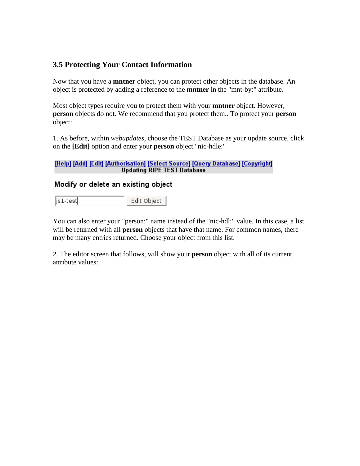## <span id="page-13-0"></span>**3.5 Protecting Your Contact Information**

Now that you have a **mntner** object, you can protect other objects in the database. An object is protected by adding a reference to the **mntner** in the "mnt-by:" attribute.

Most object types require you to protect them with your **mntner** object. However, **person** objects do not. We recommend that you protect them.. To protect your **person** object:

1. As before, within *webupdates*, choose the TEST Database as your update source, click on the **[Edit]** option and enter your **person** object "nic-hdle:"

#### [Help] [Add] [Edit] [Authorisation] [Select Source] [Query Database] [Copyright] **Updating RIPE TEST Database**

#### Modify or delete an existing object

|js1-test| Edit Object |

You can also enter your "person:" name instead of the "nic-hdl:" value. In this case, a list will be returned with all **person** objects that have that name. For common names, there may be many entries returned. Choose your object from this list.

2. The editor screen that follows, will show your **person** object with all of its current attribute values: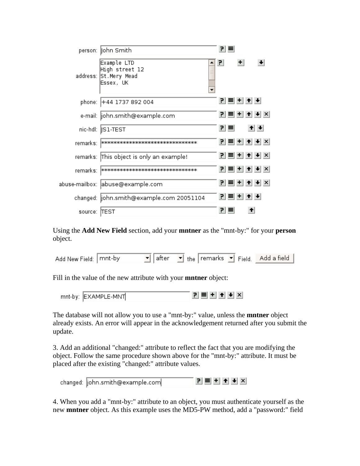|          | person:  John Smith                                                 |                          | 키트 |                                            |         |  |
|----------|---------------------------------------------------------------------|--------------------------|----|--------------------------------------------|---------|--|
|          | Example LTD<br>High street 12<br>address: St.Mery Mead<br>Essex, UK | $\overline{\phantom{a}}$ | P. | $+$                                        |         |  |
| phone:   | +44 1737 892 004                                                    |                          |    | 귀복비취+                                      |         |  |
|          | e-mail:  john.smith@example.com                                     |                          |    | $P \equiv$ + $\rightarrow$ + $\times$      |         |  |
|          | nic-hdl: ∥S1-TEST                                                   |                          | 키티 |                                            | $+$ $+$ |  |
| remarks: | рююююююююююююююююююююююююю                                          |                          |    | $P \equiv$ + + + $\times$                  |         |  |
|          | remarks: This object is only an example!                            |                          |    | 귀 = + ↑ + ×                                |         |  |
| remarks: | рынынынынынынынынынынынынынын                                       |                          |    | $\mathbf{P}$ = + + $\mathbf{H}$ + $\times$ |         |  |
|          | abuse-mailbox:  abuse@example.com                                   |                          |    | $P \equiv$ + $\rightarrow$ + $\times$      |         |  |
|          | changed:  john.smith@example.com 20051104                           |                          |    | 인티+ + +                                    |         |  |
| source:  | <b>ITEST</b>                                                        |                          | 7  |                                            | ↟       |  |

Using the **Add New Field** section, add your **mntner** as the "mnt-by:" for your **person** object.

| Add New Field: mnt-by |  | $\boxed{\bullet}$ after $\boxed{\bullet}$ the remarks $\boxed{\bullet}$ Field. Add a field |  |
|-----------------------|--|--------------------------------------------------------------------------------------------|--|
|-----------------------|--|--------------------------------------------------------------------------------------------|--|

Fill in the value of the new attribute with your **mntner** object:

The database will not allow you to use a "mnt-by:" value, unless the **mntner** object already exists. An error will appear in the acknowledgement returned after you submit the update.

3. Add an additional "changed:" attribute to reflect the fact that you are modifying the object. Follow the same procedure shown above for the "mnt-by:" attribute. It must be placed after the existing "changed:" attribute values.

|  | changed:  john.smith@example.com |  | <u>리티비비비지</u> |  |  |  |  |  |
|--|----------------------------------|--|---------------|--|--|--|--|--|
|--|----------------------------------|--|---------------|--|--|--|--|--|

4. When you add a "mnt-by:" attribute to an object, you must authenticate yourself as the new **mntner** object. As this example uses the MD5-PW method, add a "password:" field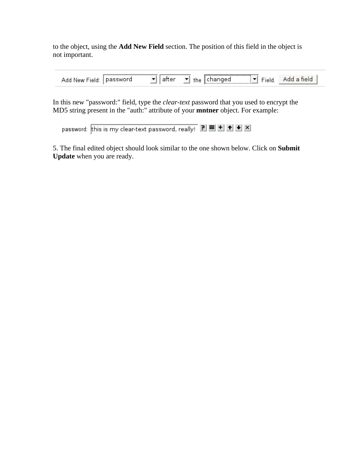to the object, using the **Add New Field** section. The position of this field in the object is not important.

| $- \cdot$<br>New<br>·leid<br>Add | isworc<br>pas | 'or<br>ан | the | <br>ıaed<br>ы |  |  |  |
|----------------------------------|---------------|-----------|-----|---------------|--|--|--|
|----------------------------------|---------------|-----------|-----|---------------|--|--|--|

In this new "password:" field, type the *clear-text* password that you used to encrypt the MD5 string present in the "auth:" attribute of your **mntner** object. For example:

password: this is my clear-text password, really! 리트비비비비

5. The final edited object should look similar to the one shown below. Click on **Submit Update** when you are ready.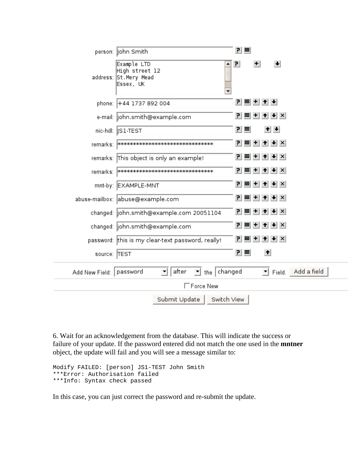|                           | person:   ohn Smith                                                                             |     | 귀티  |     |                                                           |  |  |
|---------------------------|-------------------------------------------------------------------------------------------------|-----|-----|-----|-----------------------------------------------------------|--|--|
|                           | Example LTD<br>High street 12<br>address: St.Mery Mead<br>Essex, UK<br>$\overline{\phantom{0}}$ | 킌   |     | $+$ | $\left  \cdot \right $                                    |  |  |
|                           | phone: +44 1737 892 004                                                                         |     |     |     | 귀복비취+                                                     |  |  |
|                           | e-mail:  john.smith@example.com                                                                 |     |     |     | <u>? ■ + ↑ + × </u>                                       |  |  |
|                           | nic-hdl:   S1-TEST                                                                              |     | 리티  |     | $+ +$                                                     |  |  |
|                           | remarks:   **********************************                                                   | Р.  |     |     | <b>≡ + ↑ +</b> ×                                          |  |  |
|                           | remarks: This object is only an example!                                                        |     |     |     | $P \equiv$ + + + $\times$                                 |  |  |
|                           | remarks:  *********************************                                                     |     |     |     | $P \equiv$ + + + $\times$                                 |  |  |
|                           | mnt-by: EXAMPLE-MNT                                                                             |     |     |     | $P \equiv$ + + + $\times$                                 |  |  |
|                           | abuse-mailbox: abuse@example.com                                                                |     |     |     | $ P  \equiv  P  +  P $                                    |  |  |
|                           | changed: john.smith@example.com 20051104                                                        |     |     |     | 귀티비히+ X                                                   |  |  |
|                           | changed:  john.smith@example.com                                                                |     |     |     | $\mathbf{P}$ = $\mathbf{H}$ + $\mathbf{H}$ + $\mathbf{X}$ |  |  |
|                           | password: this is my clear-text password, really!                                               | PI. |     |     | <b>≡ + ↑ + ×</b>                                          |  |  |
| source: TEST              |                                                                                                 |     | 귀 크 |     | $\big  \big $                                             |  |  |
| Add New Field:   password | $\mathbf{I}$ the changed<br>after<br>▾                                                          |     |     |     | Field. Add a field                                        |  |  |
|                           | $\Box$ Force New                                                                                |     |     |     |                                                           |  |  |
|                           | Submit Update<br>Switch View                                                                    |     |     |     |                                                           |  |  |

6. Wait for an acknowledgement from the database. This will indicate the success or failure of your update. If the password entered did not match the one used in the **mntner** object, the update will fail and you will see a message similar to:

```
Modify FAILED: [person] JS1-TEST John Smith 
***Error: Authorisation failed 
***Info: Syntax check passed
```
In this case, you can just correct the password and re-submit the update.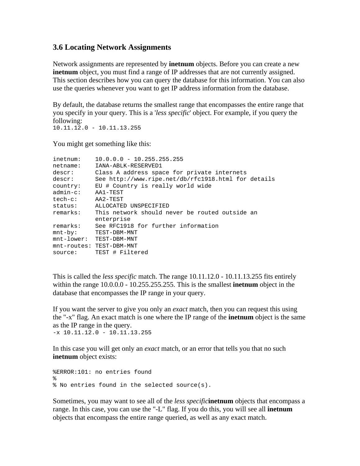#### <span id="page-17-0"></span>**3.6 Locating Network Assignments**

Network assignments are represented by **inetnum** objects. Before you can create a new **inethum** object, you must find a range of IP addresses that are not currently assigned. This section describes how you can query the database for this information. You can also use the queries whenever you want to get IP address information from the database.

By default, the database returns the smallest range that encompasses the entire range that you specify in your query. This is a '*less specific*' object. For example, if you query the following: 10.11.12.0 - 10.11.13.255

You might get something like this:

| inetnum:      | $10.0.0.0 - 10.255.255.255$                         |
|---------------|-----------------------------------------------------|
| netname:      | IANA-ABLK-RESERVED1                                 |
| descr:        | Class A address space for private internets         |
| descr:        | See http://www.ripe.net/db/rfc1918.html for details |
| country:      | EU # Country is really world wide                   |
| $admin-c$ :   | AA1-TEST                                            |
| $tech-c$ :    | AA2-TEST                                            |
| status:       | ALLOCATED UNSPECIFIED                               |
| remarks:      | This network should never be routed outside an      |
|               | enterprise                                          |
| remarks:      | See RFC1918 for further information                 |
| mnt-by:       | TEST-DBM-MNT                                        |
| $mnt-lower$ : | TEST-DBM-MNT                                        |
|               | mnt-routes: TEST-DBM-MNT                            |
| source:       | TEST # Filtered                                     |

This is called the *less specific* match. The range 10.11.12.0 - 10.11.13.255 fits entirely within the range 10.0.0.0 - 10.255.255.255. This is the smallest **inetnum** object in the database that encompasses the IP range in your query.

If you want the server to give you only an *exact* match, then you can request this using the "-x" flag. An exact match is one where the IP range of the **inetnum** object is the same as the IP range in the query.

 $-x$  10.11.12.0 - 10.11.13.255

In this case you will get only an *exact* match, or an error that tells you that no such **inetnum** object exists:

```
%ERROR:101: no entries found 
% 
% No entries found in the selected source(s).
```
Sometimes, you may want to see all of the *less specific***inetnum** objects that encompass a range. In this case, you can use the "-L" flag. If you do this, you will see all **inetnum** objects that encompass the entire range queried, as well as any exact match.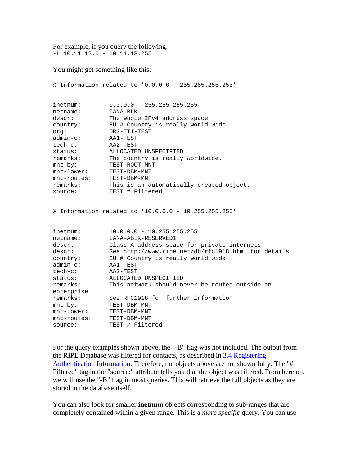For example, if you query the following: -L 10.11.12.0 - 10.11.13.255

You might get something like this:

|                                                                                                                                                                                             | % Information related to '0.0.0.0 - 255.255.255.255'                                                                                                                                                                                                                                                                                                                                                       |
|---------------------------------------------------------------------------------------------------------------------------------------------------------------------------------------------|------------------------------------------------------------------------------------------------------------------------------------------------------------------------------------------------------------------------------------------------------------------------------------------------------------------------------------------------------------------------------------------------------------|
| inetnum:<br>netname:<br>descr:<br>country:<br>orq:<br>admin-c:<br>tech-c:<br>status:<br>remarks:<br>$mnt-by$ :<br>$mnt-lower$ :<br>mnt-routes:<br>remarks:<br>source:                       | $0.0.0.0 - 255.255.255.255$<br>IANA-BLK<br>The whole IPv4 address space<br>EU # Country is really world wide<br>ORG-TT1-TEST<br>AA1-TEST<br>AA2-TEST<br>ALLOCATED UNSPECIFIED<br>The country is really worldwide.<br>TEST-ROOT-MNT<br>TEST-DBM-MNT<br>TEST-DBM-MNT<br>This is an automatically created object.<br>TEST # Filtered                                                                          |
|                                                                                                                                                                                             | % Information related to '10.0.0.0 - 10.255.255.255'                                                                                                                                                                                                                                                                                                                                                       |
| inetnum:<br>netname:<br>descr:<br>descr:<br>country:<br>$admin-c$ :<br>tech-c:<br>status:<br>remarks:<br>enterprise<br>remarks:<br>$mnt-by$ :<br>$mnt-lower$ :<br>$mnt$ -routes:<br>source: | $10.0.0.0 - 10.255.255.255$<br>IANA-ABLK-RESERVED1<br>Class A address space for private internets<br>See http://www.ripe.net/db/rfc1918.html for details<br>EU # Country is really world wide<br>AA1-TEST<br>AA2-TEST<br>ALLOCATED UNSPECIFIED<br>This network should never be routed outside an<br>See RFC1918 for further information<br>TEST-DBM-MNT<br>TEST-DBM-MNT<br>TEST-DBM-MNT<br>TEST # Filtered |
|                                                                                                                                                                                             |                                                                                                                                                                                                                                                                                                                                                                                                            |

For the query examples shown above, the "-B" flag was not included. The output from the RIPE Database was filtered for contacts, as described in [3.4 Registering](#page-9-0)  [Authentication Information.](#page-9-0) Therefore, the objects above are not shown fully. The "# Filtered" tag in the "source:" attribute tells you that the object was filtered. From here on, we will use the "-B" flag in most queries. This will retrieve the full objects as they are stored in the database itself.

You can also look for smaller **inetnum** objects corresponding to sub-ranges that are completely contained within a given range. This is a *more specific* query. You can use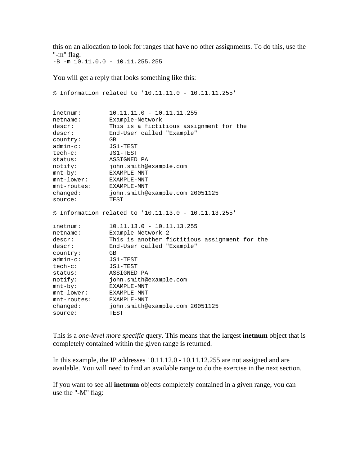this on an allocation to look for ranges that have no other assignments. To do this, use the "-m" flag.

 $-B$  -m  $10.11.0.0$  -  $10.11.255.255$ 

You will get a reply that looks something like this:

```
% Information related to '10.11.11.0 - 10.11.11.255' 
inetnum: 10.11.11.0 - 10.11.11.255 
netname: Example-Network 
descr: This is a fictitious assignment for the 
descr: End-User called "Example" 
country: GB 
admin-c: JS1-TEST 
tech-c: JS1-TEST 
status: ASSIGNED PA 
notify: john.smith@example.com 
mnt-by: EXAMPLE-MNT 
mnt-lower: EXAMPLE-MNT 
mnt-routes: EXAMPLE-MNT 
changed: john.smith@example.com 20051125 
source: TEST 
% Information related to '10.11.13.0 - 10.11.13.255' 
inetnum: 10.11.13.0 - 10.11.13.255 
netname: Example-Network-2 
descr: This is another fictitious assignment for the 
descr: End-User called "Example" 
country: GB 
admin-c: JS1-TEST 
tech-c: JS1-TEST 
status: ASSIGNED PA 
notify: john.smith@example.com 
mnt-by: EXAMPLE-MNT 
mnt-lower: EXAMPLE-MNT 
mnt-routes: EXAMPLE-MNT 
changed: john.smith@example.com 20051125 
source: TEST
```
This is a *one-level more specific* query. This means that the largest **inetnum** object that is completely contained within the given range is returned.

In this example, the IP addresses 10.11.12.0 - 10.11.12.255 are not assigned and are available. You will need to find an available range to do the exercise in the next section.

If you want to see all **inetnum** objects completely contained in a given range, you can use the "-M" flag: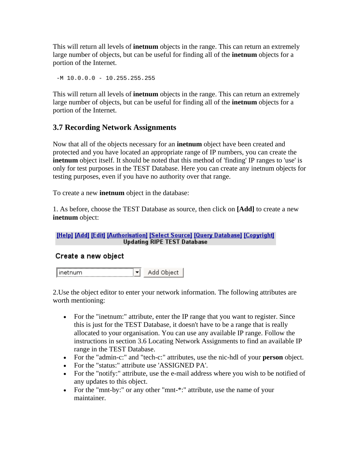<span id="page-20-0"></span>This will return all levels of **inetnum** objects in the range. This can return an extremely large number of objects, but can be useful for finding all of the **inetnum** objects for a portion of the Internet.

 $-M$  10.0.0.0 - 10.255.255.255

This will return all levels of **inetnum** objects in the range. This can return an extremely large number of objects, but can be useful for finding all of the **inetnum** objects for a portion of the Internet.

#### **3.7 Recording Network Assignments**

Now that all of the objects necessary for an **inetnum** object have been created and protected and you have located an appropriate range of IP numbers, you can create the **inetnum** object itself. It should be noted that this method of 'finding' IP ranges to 'use' is only for test purposes in the TEST Database. Here you can create any inetnum objects for testing purposes, even if you have no authority over that range.

To create a new **inetnum** object in the database:

1. As before, choose the TEST Database as source, then click on **[Add]** to create a new **inetnum** object:

[Help] [Add] [Edit] [Authorisation] [Select Source] [Query Database] [Copyright] **Updating RIPE TEST Database** 

#### Create a new object

Add Object ∥inetnum ▼∐

2.Use the object editor to enter your network information. The following attributes are worth mentioning:

- For the "inetnum:" attribute, enter the IP range that you want to register. Since this is just for the TEST Database, it doesn't have to be a range that is really allocated to your organisation. You can use any available IP range. Follow the instructions in section 3.6 Locating Network Assignments to find an available IP range in the TEST Database.
- For the "admin-c:" and "tech-c:" attributes, use the nic-hdl of your **person** object.
- For the "status:" attribute use 'ASSIGNED PA'.
- For the "notify:" attribute, use the e-mail address where you wish to be notified of any updates to this object.
- For the "mnt-by:" or any other "mnt-\*:" attribute, use the name of your maintainer.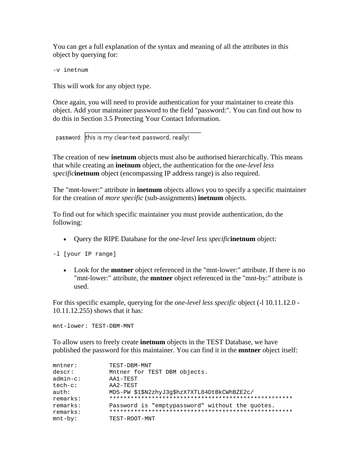You can get a full explanation of the syntax and meaning of all the attributes in this object by querying for:

-v inetnum

This will work for any object type.

Once again, you will need to provide authentication for your maintainer to create this object. Add your maintainer password to the field "password:". You can find out how to do this in Section 3.5 Protecting Your Contact Information.

password: this is my clear-text password, really!

The creation of new **inetnum** objects must also be authorised hierarchically. This means that while creating an **inetnum** object, the authentication for the *one-level less specific***inetnum** object (encompassing IP address range) is also required.

The "mnt-lower:" attribute in **inetnum** objects allows you to specify a specific maintainer for the creation of *more specific* (sub-assignments) **inetnum** objects.

To find out for which specific maintainer you must provide authentication, do the following:

• Query the RIPE Database for the *one-level less specific***inetnum** object:

-l [your IP range]

• Look for the **mntner** object referenced in the "mnt-lower:" attribute. If there is no "mnt-lower:" attribute, the **mntner** object referenced in the "mnt-by:" attribute is used.

For this specific example, querying for the *one-level less specific* object (-l 10.11.12.0 - 10.11.12.255) shows that it has:

mnt-lower: TEST-DBM-MNT

To allow users to freely create **inetnum** objects in the TEST Database, we have published the password for this maintainer. You can find it in the **mntner** object itself:

| $m$ tner:      | TEST-DBM-MNT                                    |
|----------------|-------------------------------------------------|
| descr:         | Mntner for TEST DBM objects.                    |
| $admin-c$ :    | AA1-TEST                                        |
| $tech-c$ :     | AA2-TEST                                        |
| $\text{auth}:$ | MD5-PW \$1\$N2zhyJ3q\$hzX7XTL84DtBkCWhBZE2c/    |
| remarks:       |                                                 |
| remarks:       | Password is "emptypassword" without the quotes. |
| remarks:       |                                                 |
| $mnt-by$ :     | TEST-ROOT-MNT                                   |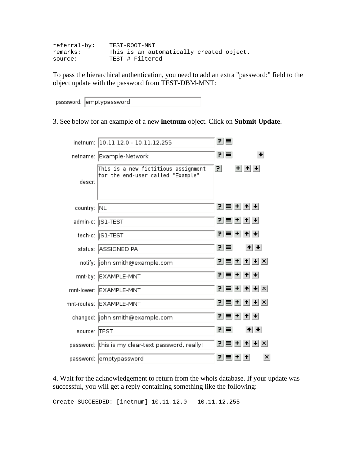| referral-by: | TEST-ROOT-MNT   |  |                                          |  |
|--------------|-----------------|--|------------------------------------------|--|
| remarks:     |                 |  | This is an automatically created object. |  |
| source:      | TEST # Filtered |  |                                          |  |

To pass the hierarchical authentication, you need to add an extra "password:" field to the object update with the password from TEST-DBM-MNT:

| password: emptypassword |  |
|-------------------------|--|
|-------------------------|--|

3. See below for an example of a new **inetnum** object. Click on **Submit Update**.

|              | inetnum:  10.11.12.0 - 10.11.12.255                                      | 키트           |               |                        |
|--------------|--------------------------------------------------------------------------|--------------|---------------|------------------------|
|              | netname: Example-Network                                                 | 키티           |               | $\left  \cdot \right $ |
| descr:       | This is a new fictitious assignment<br>for the end-user called "Example" | $\mathbf{P}$ | $+ + + $      |                        |
| country: NL  |                                                                          |              | 귀 티 비 취 베     |                        |
|              | admin-c:   S1-TEST                                                       |              | 인티비쉬베         |                        |
|              | tech-c:   S1-TEST                                                        |              | 인티비취+         |                        |
|              | status: ASSIGNED PA                                                      | 리트           |               | $+ + $                 |
|              | notify:  john.smith@example.com                                          |              | 귀복비취H×        |                        |
|              | mnt-by: EXAMPLE-MNT                                                      |              | 인티+ [+] +     |                        |
|              | mnt-lower: EXAMPLE-MNT                                                   |              | 귀복비취+ ×       |                        |
|              | mnt-routes: EXAMPLE-MNT                                                  |              | 귀복비취H×        |                        |
|              | changed:  john.smith@example.com                                         |              | 귀 티 +   +   + |                        |
| source: TEST |                                                                          | 키티           |               | $+ + $                 |
|              | password: this is my clear-text password, really!                        |              |               | $\vert x \vert$        |
|              | password:  emptypassword                                                 |              | ? ■ + ↑       | ×                      |

4. Wait for the acknowledgement to return from the whois database. If your update was successful, you will get a reply containing something like the following:

Create SUCCEEDED: [inetnum] 10.11.12.0 - 10.11.12.255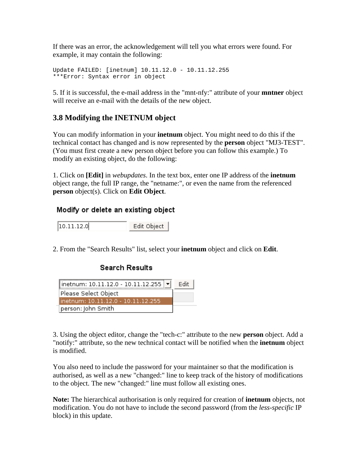<span id="page-23-0"></span>If there was an error, the acknowledgement will tell you what errors were found. For example, it may contain the following:

```
Update FAILED: [inetnum] 10.11.12.0 - 10.11.12.255 
***Error: Syntax error in object
```
5. If it is successful, the e-mail address in the "mnt-nfy:" attribute of your **mntner** object will receive an e-mail with the details of the new object.

## **3.8 Modifying the INETNUM object**

You can modify information in your **inetnum** object. You might need to do this if the technical contact has changed and is now represented by the **person** object "MJ3-TEST". (You must first create a new person object before you can follow this example.) To modify an existing object, do the following:

1. Click on **[Edit]** in *webupdates*. In the text box, enter one IP address of the **inetnum** object range, the full IP range, the "netname:", or even the name from the referenced **person** object(s). Click on **Edit Object**.

#### Modify or delete an existing object

 $|10.11.12.0|$ Edit Object

2. From the "Search Results" list, select your **inetnum** object and click on **Edit**.

#### **Search Results**

| inetnum: 10.11.12.0 - 10.11.12.255 $\blacktriangleright$ | Fdit |
|----------------------------------------------------------|------|
| Please Select Object                                     |      |
| linetnum: 10.11.12.0 - 10.11.12.255                      |      |
| person: John Smith                                       |      |

3. Using the object editor, change the "tech-c:" attribute to the new **person** object. Add a "notify:" attribute, so the new technical contact will be notified when the **inetnum** object is modified.

You also need to include the password for your maintainer so that the modification is authorised, as well as a new "changed:" line to keep track of the history of modifications to the object. The new "changed:" line must follow all existing ones.

**Note:** The hierarchical authorisation is only required for creation of **inetnum** objects, not modification. You do not have to include the second password (from the *less-specific* IP block) in this update.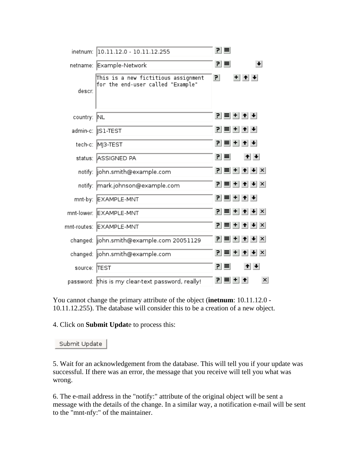| inetnum:     | 10.11.12.0 - 10.11.12.255                                                | 키티           |                    |                        |
|--------------|--------------------------------------------------------------------------|--------------|--------------------|------------------------|
|              | netname: Example-Network                                                 | 킨티           |                    | $\left  \cdot \right $ |
| descr:       | This is a new fictitious assignment<br>for the end-user called "Example" | $\mathbf{P}$ | $+$ $+$ $+$        |                        |
| country:     | <b>NL</b>                                                                |              | 인티+ ↑ +            |                        |
|              | admin-c:   S1-TEST                                                       |              | 귀복비취+              |                        |
|              | tech-c: MJ3-TEST                                                         |              | 인티+ ↑ +            |                        |
|              | status: ASSIGNED PA                                                      | 킨티           | $+ + $             |                        |
|              | notify:  john.smith@example.com                                          |              | <u>?│≡│+│+│+│×</u> |                        |
|              | notify: mark.johnson@example.com                                         |              | <u>귀ਥ+ + + ×</u>   |                        |
|              | mnt-by: EXAMPLE-MNT                                                      |              | 귀복비취+              |                        |
|              | mnt-lower: EXAMPLE-MNT                                                   |              | $P =  + + + $      |                        |
|              | mnt-routes: EXAMPLE-MNT                                                  |              | 귀=++++ ★           |                        |
|              | changed:  john.smith@example.com 20051129                                |              | 귀티비취베지             |                        |
|              | changed:  john.smith@example.com                                         | PI.          | <b>≡ + ↑ ↓</b> ×   |                        |
| source: TEST |                                                                          | 키티           | $+$ $+$            |                        |
|              | password:  this is my clear-text password, really!                       |              | 인터 H 1             | $\vert x \vert$        |

You cannot change the primary attribute of the object (**inetnum**: 10.11.12.0 - 10.11.12.255). The database will consider this to be a creation of a new object.

4. Click on **Submit Updat**e to process this:

Submit Update |

5. Wait for an acknowledgement from the database. This will tell you if your update was successful. If there was an error, the message that you receive will tell you what was wrong.

6. The e-mail address in the "notify:" attribute of the original object will be sent a message with the details of the change. In a similar way, a notification e-mail will be sent to the "mnt-nfy:" of the maintainer.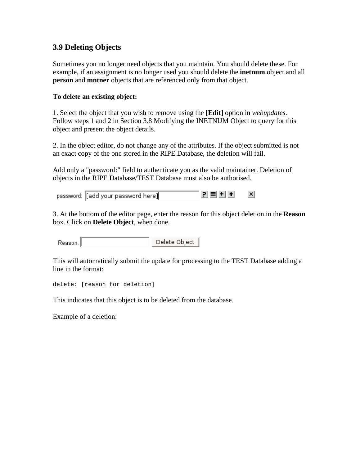### <span id="page-25-0"></span>**3.9 Deleting Objects**

Sometimes you no longer need objects that you maintain. You should delete these. For example, if an assignment is no longer used you should delete the **inetnum** object and all **person** and **mntner** objects that are referenced only from that object.

#### **To delete an existing object:**

1. Select the object that you wish to remove using the **[Edit]** option in *webupdates*. Follow steps 1 and 2 in Section 3.8 Modifying the INETNUM Object to query for this object and present the object details.

2. In the object editor, do not change any of the attributes. If the object submitted is not an exact copy of the one stored in the RIPE Database, the deletion will fail.

Add only a "password:" field to authenticate you as the valid maintainer. Deletion of objects in the RIPE Database/TEST Database must also be authorised.

| password: [[add your password here]] |  | $P \equiv   \pm   \pm  $ |  |  |  | $\boldsymbol{\mathsf{x}}$<br>and the control of the con- |
|--------------------------------------|--|--------------------------|--|--|--|----------------------------------------------------------|
|--------------------------------------|--|--------------------------|--|--|--|----------------------------------------------------------|

3. At the bottom of the editor page, enter the reason for this object deletion in the **Reason** box. Click on **Delete Object**, when done.

Delete Object Reason:

This will automatically submit the update for processing to the TEST Database adding a line in the format:

delete: [reason for deletion]

This indicates that this object is to be deleted from the database.

Example of a deletion: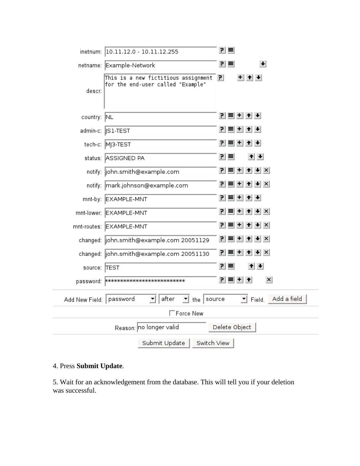|                           | inetnum: 10.11.12.0 - 10.11.12.255                                                    | 관리                                                    |  |  |  |  |
|---------------------------|---------------------------------------------------------------------------------------|-------------------------------------------------------|--|--|--|--|
|                           | netname: Example-Network                                                              | $\left  \bullet \right $<br>리티                        |  |  |  |  |
| descr:                    | This is a new fictitious assignment $\mathbf{P}$<br>for the end-user called "Example" | $+$ $+$ $+$                                           |  |  |  |  |
| country: NL               |                                                                                       | 귀복비취+                                                 |  |  |  |  |
|                           | admin-c: ∥S1-TEST                                                                     | 힘들번 취회                                                |  |  |  |  |
|                           | tech-c: MJ3-TEST                                                                      | 귀복비취+                                                 |  |  |  |  |
|                           | status: ASSIGNED PA                                                                   | $+$ $+$<br>리트                                         |  |  |  |  |
|                           | notify:  john.smith@example.com                                                       | $ P  \equiv  P  +  P $                                |  |  |  |  |
|                           | notify: mark.johnson@example.com                                                      | $P \equiv$ + + + $\times$                             |  |  |  |  |
|                           | mnt-by: EXAMPLE-MNT                                                                   | 귀 티 비 쉬 쉬                                             |  |  |  |  |
|                           | mnt-lower: EXAMPLE-MNT                                                                | 귀티비히♦×                                                |  |  |  |  |
|                           | mnt-routes: EXAMPLE-MNT                                                               | $P = + +$                                             |  |  |  |  |
|                           | changed:  john.smith@example.com 20051129                                             | $ P  \equiv  P  +  P $                                |  |  |  |  |
|                           | changed:  john.smith@example.com 20051130                                             | PI.<br>$\parallel \bullet \parallel \times \parallel$ |  |  |  |  |
| source: TEST              |                                                                                       | 리티<br>$+ +$                                           |  |  |  |  |
|                           |                                                                                       | 힘들비 취<br>$\vert x \vert$                              |  |  |  |  |
| Add New Field:   password | after<br>$\mathbf{I}$ the source<br>$\blacktriangledown$                              | Add a field<br>$\mathbf{r}$ Field.                    |  |  |  |  |
|                           | □Force New                                                                            |                                                       |  |  |  |  |
|                           | Reason: no longer valid                                                               | Delete Object                                         |  |  |  |  |
|                           | Submit Update<br>Switch View                                                          |                                                       |  |  |  |  |

### 4. Press **Submit Update**.

5. Wait for an acknowledgement from the database. This will tell you if your deletion was successful.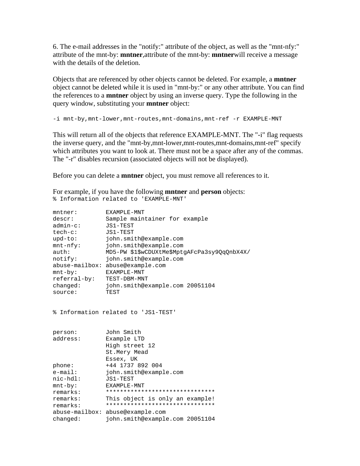6. The e-mail addresses in the "notify:" attribute of the object, as well as the "mnt-nfy:" attribute of the mnt-by: **mntner**,attribute of the mnt-by: **mntner**will receive a message with the details of the deletion.

Objects that are referenced by other objects cannot be deleted. For example, a **mntner** object cannot be deleted while it is used in "mnt-by:" or any other attribute. You can find the references to a **mntner** object by using an inverse query. Type the following in the query window, substituting your **mntner** object:

-i mnt-by,mnt-lower,mnt-routes,mnt-domains,mnt-ref -r EXAMPLE-MNT

This will return all of the objects that reference EXAMPLE-MNT. The "-i" flag requests the inverse query, and the "mnt-by,mnt-lower,mnt-routes,mnt-domains,mnt-ref" specify which attributes you want to look at. There must not be a space after any of the commas. The "-r" disables recursion (associated objects will not be displayed).

Before you can delete a **mntner** object, you must remove all references to it.

For example, if you have the following **mntner** and **person** objects: % Information related to 'EXAMPLE-MNT'

| $m$ tner:        | EXAMPLE-MNT                                  |
|------------------|----------------------------------------------|
| descr:           | Sample maintainer for example                |
| $admin-c$ :      | JS1-TEST                                     |
| tech-c:          | JS1-TEST                                     |
| $upd-to$ :       | john.smith@example.com                       |
| $mnt-nfy$ :      | john.smith@example.com                       |
| auth:            | MD5-PW \$1\$wCDUXtMe\$MptgAFcPa3sy9QqQnbX4X/ |
| notify:          | john.smith@example.com                       |
| $abuse-mailbox:$ | abuse@example.com                            |
| $mnt-by$ :       | <b>FXAMPLE-MNT</b>                           |
| referral-by:     | TEST-DBM-MNT                                 |
| changed:         | john.smith@example.com 20051104              |
| source:          | TEST                                         |

% Information related to 'JS1-TEST'

| person:         | John Smith                       |  |
|-----------------|----------------------------------|--|
| address:        | Example LTD                      |  |
|                 | High street 12                   |  |
|                 | St.Mery Mead                     |  |
|                 | Essex, UK                        |  |
| phone:          | +44 1737 892 004                 |  |
| $e$ -mail:      | john.smith@example.com           |  |
| $nic$ - $hdl$ : | JS1-TEST                         |  |
| mnt-by:         | FXAMPLE-MNT                      |  |
| remarks:        | *******************************  |  |
| remarks:        | This object is only an example!  |  |
| remarks:        | *******************************  |  |
|                 | abuse-mailbox: abuse@example.com |  |
| changed:        | john.smith@example.com 20051104  |  |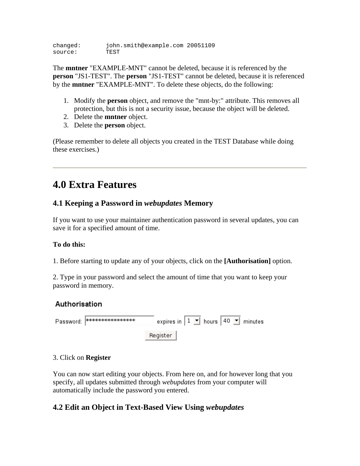<span id="page-28-0"></span>changed: john.smith@example.com 20051109<br>source: TEST source:

The **mntner** "EXAMPLE-MNT" cannot be deleted, because it is referenced by the **person** "JS1-TEST". The **person** "JS1-TEST" cannot be deleted, because it is referenced by the **mntner** "EXAMPLE-MNT". To delete these objects, do the following:

- 1. Modify the **person** object, and remove the "mnt-by:" attribute. This removes all protection, but this is not a security issue, because the object will be deleted.
- 2. Delete the **mntner** object.
- 3. Delete the **person** object.

(Please remember to delete all objects you created in the TEST Database while doing these exercises.)

## **4.0 Extra Features**

## **4.1 Keeping a Password in** *webupdates* **Memory**

If you want to use your maintainer authentication password in several updates, you can save it for a specified amount of time.

#### **To do this:**

1. Before starting to update any of your objects, click on the **[Authorisation]** option.

2. Type in your password and select the amount of time that you want to keep your password in memory.

## Authorisation

| Password: <del>Molololololololololololol</del> ok | expires in $1 \times$ hours 40 $\overline{\phantom{0}}$ minutes |  |  |  |
|---------------------------------------------------|-----------------------------------------------------------------|--|--|--|
|                                                   | Register                                                        |  |  |  |

#### 3. Click on **Register**

You can now start editing your objects. From here on, and for however long that you specify, all updates submitted through *webupdates* from your computer will automatically include the password you entered.

## **4.2 Edit an Object in Text-Based View Using** *webupdates*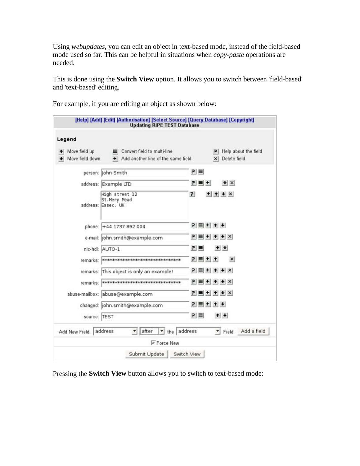Using *webupdates*, you can edit an object in text-based mode, instead of the field-based mode used so far. This can be helpful in situations when *copy-paste* operations are needed.

This is done using the **Switch View** option. It allows you to switch between 'field-based' and 'text-based' editing.

[Help] [Add] [Edit] [Authorisation] [Select Source] [Query Database] [Copyright] **Updating RIPE TEST Database** Legend + Move field up  $\equiv$ Convert field to multi-line P Help about the field + Move field down + Add another line of the same field x | Delete field  $P \equiv$ person: John Smith  $P \equiv +$ address: Example LTD  $+ x$ High street 12  $+$   $+$   $+$   $\times$  $\overline{P}$ St. Mery Mead address: Essex, UK  $P = + + +$ phone: +44 1737 892 004  $P \equiv + + + x$ e-mail: john.smith@example.com nic-hdl: AUTO-1  $P \equiv$  $+ +$ remarks: **высококносное космосное состоитель**  $P = + +$  $\boldsymbol{\mathsf{x}}$ remarks: This object is only an example!  $\mathbf{P} \equiv + + + \times$ remarks: воснововововововововововововововововово  $P \equiv$  + + +  $\times$  $P \equiv + + +$ abuse-mailbox: abuse@example.com  $P = + + +$ changed: john.smith@example.com  $+$  +  $P \equiv$ source: TEST Add New Field: address  $\mathbf{I}$  after  $\mathbf{r}$  the address  $\blacksquare$  Field. Add a field **区Force New** Submit Update Switch View

For example, if you are editing an object as shown below:

Pressing the **Switch View** button allows you to switch to text-based mode: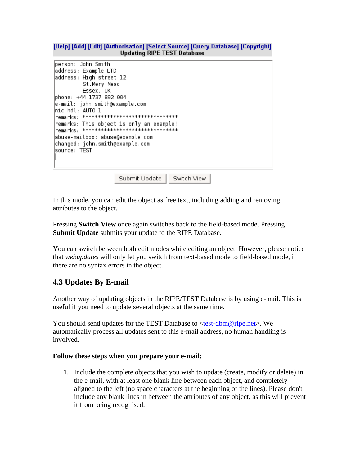<span id="page-30-0"></span>[Help] [Add] [Edit] [Authorisation] [Select Source] [Query Database] [Copyright] **Updating RIPE TEST Database** 

```
berson: John Smith
address: Example LTD
address: High street 12
        St.Mery Mead
        Essex, UK
phone: +44 1737 892 004
e-mail: john.smith@example.com|
hic-hdl: AUTO-1
remarks: This object is only an example!
Temarks: *********************************
abuse-mailbox: abuse@example.com
changed: john.smith@example.com
source: TEST
```
Submit Update Switch View

In this mode, you can edit the object as free text, including adding and removing attributes to the object.

Pressing **Switch View** once again switches back to the field-based mode. Pressing **Submit Update** submits your update to the RIPE Database.

You can switch between both edit modes while editing an object. However, please notice that *webupdates* will only let you switch from text-based mode to field-based mode, if there are no syntax errors in the object.

#### **4.3 Updates By E-mail**

Another way of updating objects in the RIPE/TEST Database is by using e-mail. This is useful if you need to update several objects at the same time.

You should send updates for the TEST Database to <[test-dbm@ripe.net](mailto:test-dbm@ripe.net)>. We automatically process all updates sent to this e-mail address, no human handling is involved.

#### **Follow these steps when you prepare your e-mail:**

1. Include the complete objects that you wish to update (create, modify or delete) in the e-mail, with at least one blank line between each object, and completely aligned to the left (no space characters at the beginning of the lines). Please don't include any blank lines in between the attributes of any object, as this will prevent it from being recognised.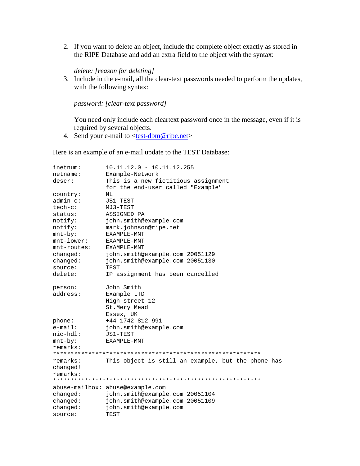2. If you want to delete an object, include the complete object exactly as stored in the RIPE Database and add an extra field to the object with the syntax:

#### *delete: [reason for deleting]*

3. Include in the e-mail, all the clear-text passwords needed to perform the updates, with the following syntax:

*password: [clear-text password]* 

You need only include each cleartext password once in the message, even if it is required by several objects.

4. Send your e-mail to  $\langle test\text{-}dbm@ripe.net\rangle$ 

Here is an example of an e-mail update to the TEST Database:

| inetnum:       | $10.11.12.0 - 10.11.12.255$                        |  |
|----------------|----------------------------------------------------|--|
| netname:       | Example-Network                                    |  |
| descr:         | This is a new fictitious assignment                |  |
|                | for the end-user called "Example"                  |  |
| country:       | ΝL                                                 |  |
| $admin-c$ :    | JS1-TEST                                           |  |
| $tech-c$ :     | MJ3-TEST                                           |  |
| status:        | ASSIGNED PA                                        |  |
| notify:        | john.smith@example.com                             |  |
| notify:        | mark.johnson@ripe.net                              |  |
| $mnt-by$ :     | EXAMPLE-MNT                                        |  |
| $mnt-lower$ :  | EXAMPLE-MNT                                        |  |
| $mnt$ -routes: | EXAMPLE-MNT                                        |  |
| changed:       | john.smith@example.com 20051129                    |  |
| changed:       | john.smith@example.com 20051130                    |  |
| source:        | TEST                                               |  |
| delete:        | IP assignment has been cancelled                   |  |
| person:        | John Smith                                         |  |
| address:       | Example LTD                                        |  |
|                | High street 12                                     |  |
|                | St.Mery Mead                                       |  |
|                | Essex, UK                                          |  |
| phone:         | +44 1742 812 991                                   |  |
| $e$ -mail:     | john.smith@example.com                             |  |
| $nic-hd1$ :    | JS1-TEST                                           |  |
| $mnt-by$ :     | EXAMPLE-MNT                                        |  |
| remarks:       |                                                    |  |
|                |                                                    |  |
| remarks:       | This object is still an example, but the phone has |  |
| changed!       |                                                    |  |
| remarks:       |                                                    |  |
|                |                                                    |  |
|                | abuse-mailbox: abuse@example.com                   |  |
| changed:       | john.smith@example.com 20051104                    |  |
| changed:       | john.smith@example.com 20051109                    |  |
| changed:       | john.smith@example.com                             |  |
| source:        | TEST                                               |  |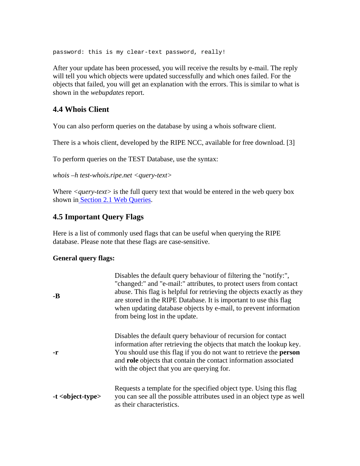<span id="page-32-0"></span>password: this is my clear-text password, really!

After your update has been processed, you will receive the results by e-mail. The reply will tell you which objects were updated successfully and which ones failed. For the objects that failed, you will get an explanation with the errors. This is similar to what is shown in the *webupdates* report.

#### **4.4 Whois Client**

You can also perform queries on the database by using a whois software client.

There is a whois client, developed by the RIPE NCC, available for free download. [3]

To perform queries on the TEST Database, use the syntax:

*whois –h test-whois.ripe.net <query-text>*

Where *<query-text>* is the full query text that would be entered in the web query box shown in [Section 2.1 Web Queries.](#page-3-0)

#### **4.5 Important Query Flags**

Here is a list of commonly used flags that can be useful when querying the RIPE database. Please note that these flags are case-sensitive.

#### **General query flags:**

| $-B$                 | Disables the default query behaviour of filtering the "notify:",<br>"changed:" and "e-mail:" attributes, to protect users from contact<br>abuse. This flag is helpful for retrieving the objects exactly as they<br>are stored in the RIPE Database. It is important to use this flag<br>when updating database objects by e-mail, to prevent information<br>from being lost in the update. |
|----------------------|---------------------------------------------------------------------------------------------------------------------------------------------------------------------------------------------------------------------------------------------------------------------------------------------------------------------------------------------------------------------------------------------|
| -r                   | Disables the default query behaviour of recursion for contact<br>information after retrieving the objects that match the lookup key.<br>You should use this flag if you do not want to retrieve the <b>person</b><br>and role objects that contain the contact information associated<br>with the object that you are querying for.                                                         |
| $-t$ < object-type > | Requests a template for the specified object type. Using this flag<br>you can see all the possible attributes used in an object type as well<br>as their characteristics.                                                                                                                                                                                                                   |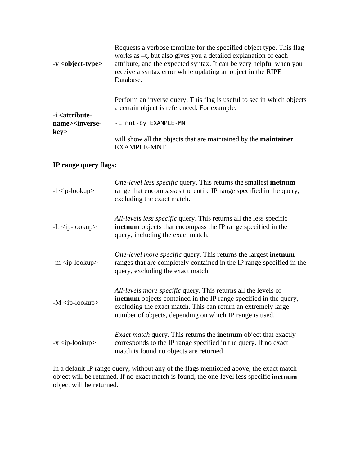| $-v$ < object-type >                                                                                                                                                | Requests a verbose template for the specified object type. This flag<br>works as -t, but also gives you a detailed explanation of each<br>attribute, and the expected syntax. It can be very helpful when you<br>receive a syntax error while updating an object in the RIPE<br>Database. |
|---------------------------------------------------------------------------------------------------------------------------------------------------------------------|-------------------------------------------------------------------------------------------------------------------------------------------------------------------------------------------------------------------------------------------------------------------------------------------|
| -i <attribute-< td=""><td>Perform an inverse query. This flag is useful to see in which objects<br/>a certain object is referenced. For example:</td></attribute-<> | Perform an inverse query. This flag is useful to see in which objects<br>a certain object is referenced. For example:                                                                                                                                                                     |
| name> <inverse-<br>key&gt;</inverse-<br>                                                                                                                            | -i mnt-by EXAMPLE-MNT                                                                                                                                                                                                                                                                     |
|                                                                                                                                                                     | will show all the objects that are maintained by the <b>maintainer</b><br>EXAMPLE-MNT.                                                                                                                                                                                                    |

### **IP range query flags:**

| $-l$ $\langle$ ip-lookup $\rangle$ | <i>One-level less specific</i> query. This returns the smallest <b>inetnum</b><br>range that encompasses the entire IP range specified in the query,<br>excluding the exact match.                                                                                     |
|------------------------------------|------------------------------------------------------------------------------------------------------------------------------------------------------------------------------------------------------------------------------------------------------------------------|
| $-L <$ ip-lookup>                  | All-levels less specific query. This returns all the less specific<br><b>inethum</b> objects that encompass the IP range specified in the<br>query, including the exact match.                                                                                         |
| $-m ip-lookup>$                    | <i>One-level more specific</i> query. This returns the largest <b>inetnum</b><br>ranges that are completely contained in the IP range specified in the<br>query, excluding the exact match                                                                             |
| $-M$ $\langle$ ip-lookup $>$       | All-levels more specific query. This returns all the levels of<br><b>inethum</b> objects contained in the IP range specified in the query,<br>excluding the exact match. This can return an extremely large<br>number of objects, depending on which IP range is used. |
| $-x$ $\langle$ ip-lookup $\rangle$ | <i>Exact match</i> query. This returns the <b>inetnum</b> object that exactly<br>corresponds to the IP range specified in the query. If no exact<br>match is found no objects are returned                                                                             |

In a default IP range query, without any of the flags mentioned above, the exact match object will be returned. If no exact match is found, the one-level less specific **inetnum**  object will be returned.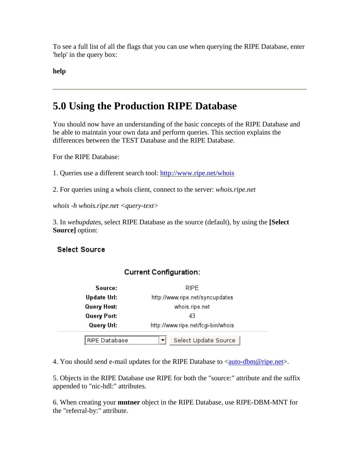<span id="page-34-0"></span>To see a full list of all the flags that you can use when querying the RIPE Database, enter 'help' in the query box:

**help**

## **5.0 Using the Production RIPE Database**

You should now have an understanding of the basic concepts of the RIPE Database and be able to maintain your own data and perform queries. This section explains the differences between the TEST Database and the RIPE Database.

For the RIPE Database:

1. Queries use a different search tool: <http://www.ripe.net/whois>

2. For queries using a whois client, connect to the server: *whois.ripe.net*

*whois -h whois.ripe.net <query-text>*

3. In *webupdates*, select RIPE Database as the source (default), by using the **[Select Source]** option:

#### **Select Source**

#### **Current Configuration:**

| Source:       | RIPE                               |  |
|---------------|------------------------------------|--|
| Update Url:   | http://www.ripe.net/syncupdates    |  |
| Query Host:   | whois.ripe.net                     |  |
| Query Port:   | 43                                 |  |
| Query Url:    | http://www.ripe.net/fcgi-bin/whois |  |
| RIPE Database | Select Update Source<br>▼          |  |

4. You should send e-mail updates for the RIPE Database to  $\langle \text{auto-dbm@ripe.net} \rangle$ .

5. Objects in the RIPE Database use RIPE for both the "source:" attribute and the suffix appended to "nic-hdl:" attributes.

6. When creating your **mntner** object in the RIPE Database, use RIPE-DBM-MNT for the "referral-by:" attribute.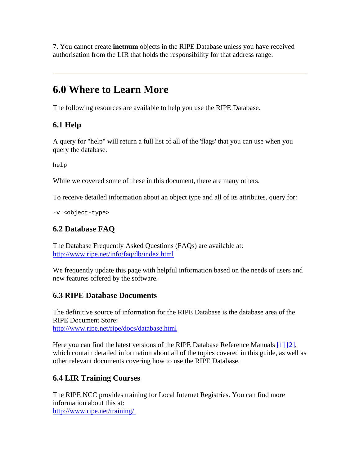<span id="page-35-0"></span>7. You cannot create **inetnum** objects in the RIPE Database unless you have received authorisation from the LIR that holds the responsibility for that address range.

## **6.0 Where to Learn More**

The following resources are available to help you use the RIPE Database.

## **6.1 Help**

A query for "help" will return a full list of all of the 'flags' that you can use when you query the database.

help

While we covered some of these in this document, there are many others.

To receive detailed information about an object type and all of its attributes, query for:

-v <object-type>

## **6.2 Database FAQ**

The Database Frequently Asked Questions (FAQs) are available at: <http://www.ripe.net/info/faq/db/index.html>

We frequently update this page with helpful information based on the needs of users and new features offered by the software.

#### **6.3 RIPE Database Documents**

The definitive source of information for the RIPE Database is the database area of the RIPE Document Store: <http://www.ripe.net/ripe/docs/database.html>

Here you can find the latest versions of the RIPE Database Reference Manuals [\[1\]](#page-36-0) [\[2\],](#page-36-0) which contain detailed information about all of the topics covered in this guide, as well as other relevant documents covering how to use the RIPE Database.

## **6.4 LIR Training Courses**

The RIPE NCC provides training for Local Internet Registries. You can find more information about this at: <http://www.ripe.net/training/>